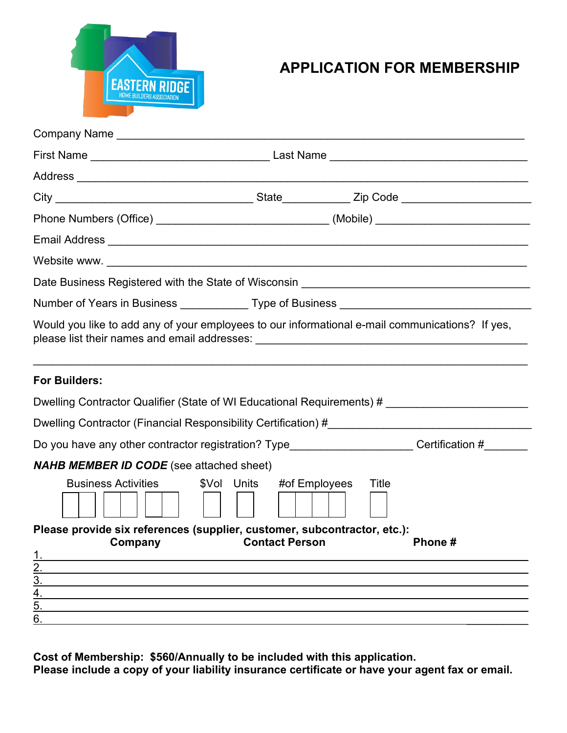

## **APPLICATION FOR MEMBERSHIP**

| Email Address <b>Commission Contract Contract Contract Contract Contract Contract Contract Contract Contract Contract Contract Contract Contract Contract Contract Contract Contract Contract Contract Contract Contract Contrac</b> |                           |       |        |
|--------------------------------------------------------------------------------------------------------------------------------------------------------------------------------------------------------------------------------------|---------------------------|-------|--------|
|                                                                                                                                                                                                                                      |                           |       |        |
|                                                                                                                                                                                                                                      |                           |       |        |
|                                                                                                                                                                                                                                      |                           |       |        |
| Would you like to add any of your employees to our informational e-mail communications? If yes,                                                                                                                                      |                           |       |        |
| <b>For Builders:</b>                                                                                                                                                                                                                 |                           |       |        |
| Dwelling Contractor Qualifier (State of WI Educational Requirements) # ____________________________                                                                                                                                  |                           |       |        |
|                                                                                                                                                                                                                                      |                           |       |        |
| Do you have any other contractor registration? Type_____________________Certification #_______                                                                                                                                       |                           |       |        |
| <b>NAHB MEMBER ID CODE</b> (see attached sheet)                                                                                                                                                                                      |                           |       |        |
| <b>Business Activities</b>                                                                                                                                                                                                           | \$Vol Units #of Employees | Title |        |
| Please provide six references (supplier, customer, subcontractor, etc.):<br>Company                                                                                                                                                  | <b>Contact Person</b>     |       | Phone# |
|                                                                                                                                                                                                                                      |                           |       |        |
|                                                                                                                                                                                                                                      |                           |       |        |
| $\frac{1}{2}$ $\frac{2}{3}$ $\frac{4}{4}$ $\frac{5}{5}$ $\frac{6}{6}$                                                                                                                                                                |                           |       |        |
|                                                                                                                                                                                                                                      |                           |       |        |

**Cost of Membership: \$560/Annually to be included with this application. Please include a copy of your liability insurance certificate or have your agent fax or email.**